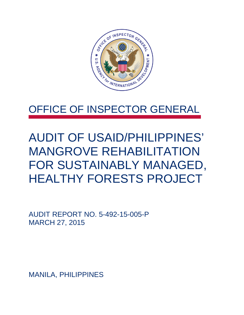

## OFFICE OF INSPECTOR GENERAL

## AUDIT OF USAID/PHILIPPINES' MANGROVE REHABILITATION FOR SUSTAINABLY MANAGED, HEALTHY FORESTS PROJECT

AUDIT REPORT NO. 5-492-15-005-P MARCH 27, 2015

MANILA, PHILIPPINES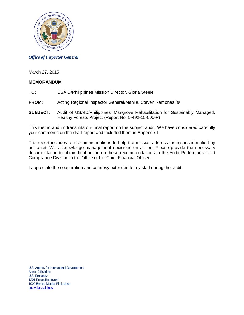

#### *Office of Inspector General*

March 27, 2015

#### **MEMORANDUM**

- **TO:** USAID/Philippines Mission Director, Gloria Steele
- **FROM:** Acting Regional Inspector General/Manila, Steven Ramonas /s/
- **SUBJECT:** Audit of USAID/Philippines' Mangrove Rehabilitation for Sustainably Managed, Healthy Forests Project (Report No. 5-492-15-005-P)

This memorandum transmits our final report on the subject audit. We have considered carefully your comments on the draft report and included them in Appendix II.

The report includes ten recommendations to help the mission address the issues identified by our audit. We acknowledge management decisions on all ten. Please provide the necessary documentation to obtain final action on these recommendations to the Audit Performance and Compliance Division in the Office of the Chief Financial Officer.

I appreciate the cooperation and courtesy extended to my staff during the audit.

U.S. Agency for International Development Annex 2 Building U.S. Embassy 1201 Roxas Boulevard 1000 Ermita, Manila, Philippines [http://oig.usaid.gov](http://oig.usaid.gov/)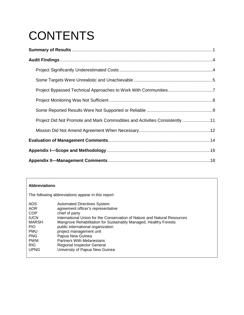# **CONTENTS**

| Project Did Not Promote and Mark Commodities and Activities Consistently 11 |
|-----------------------------------------------------------------------------|
|                                                                             |
|                                                                             |
|                                                                             |
|                                                                             |

#### **Abbreviations**  The following abbreviations appear in this report: ADS Automated Directives System<br>AOR agreement officer's representa AOR agreement officer's representative<br>COP chief of party COP chief of party<br>ILICN International I IUCN International Union for the Conservation of Nature and Natural Resources<br>MARSH Mangrove Rehabilitation for Sustainably Managed, Healthy Forests Mangrove Rehabilitation for Sustainably Managed, Healthy Forests PIO public international organization<br>
PMU project management unit PMU project management unit<br>PNG Papua New Guinea PNG Papua New Guinea<br>PWM Partners With Melan **PWM** Partners With Melanesians<br>RIG Regional Inspector General RIG Regional Inspector General<br>UPNG University of Papua New Gu University of Papua New Guinea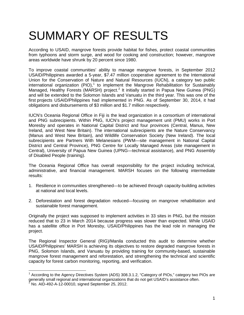# <span id="page-3-0"></span>SUMMARY OF RESULTS

According to USAID, mangrove forests provide habitat for fishes, protect coastal communities from typhoons and storm surge, and wood for cooking and construction; however, mangrove areas worldwide have shrunk by 20 percent since 1980.

To improve coastal communities' ability to manage mangrove forests, in September 2012 USAID/Philippines awarded a 5-year, \$7.47 million cooperative agreement to the International Union for the Conservation of Nature and Natural Resources (IUCN), a category two public international organization (PIO),<sup>[1](#page-3-1)</sup> to implement the Mangrove Rehabilitation for Sustainably Managed, Healthy Forests (MARSH) project.<sup>[2](#page-3-2)</sup> It initially started in Papua New Guinea (PNG) and will be extended to the Solomon Islands and Vanuatu in the third year. This was one of the first projects USAID/Philippines had implemented in PNG. As of September 30, 2014, it had obligations and disbursements of \$3 million and \$1.7 million respectively.

IUCN's Oceania Regional Office in Fiji is the lead organization in a consortium of international and PNG subrecipients. Within PNG, IUCN's project management unit (PMU) works in Port Moresby and operates in National Capital District and four provinces (Central, Manus, New Ireland, and West New Britain). The international subrecipients are the Nature Conservancy (Manus and West New Britain), and Wildlife Conservation Society (New Ireland). The local subrecipients are Partners With Melanesians (PWM—site management in National Capital District and Central Province), PNG Centre for Locally Managed Areas (site management in Central), University of Papua New Guinea (UPNG—technical assistance), and PNG Assembly of Disabled People (training).

The Oceania Regional Office has overall responsibility for the project including technical, administrative, and financial management. MARSH focuses on the following intermediate results:

- 1. Resilience in communities strengthened—to be achieved through capacity-building activities at national and local levels.
- 2. Deforestation and forest degradation reduced—focusing on mangrove rehabilitation and sustainable forest management.

Originally the project was supposed to implement activities in 33 sites in PNG, but the mission reduced that to 23 in March 2014 because progress was slower than expected. While USAID has a satellite office in Port Moresby, USAID/Philippines has the lead role in managing the project.

The Regional Inspector General (RIG)/Manila conducted this audit to determine whether USAID/Philippines' MARSH is achieving its objectives to restore degraded mangrove forests in PNG, Solomon Islands, and Vanuatu by providing training for community-based, sustainable mangrove forest management and reforestation, and strengthening the technical and scientific capacity for forest carbon monitoring, reporting, and verification.

<span id="page-3-2"></span><span id="page-3-1"></span> $1$  According to the Agency Directives System (ADS) 308.3.1.2, "Category of PIOs," category two PIOs are generally small regional and international organizations that do not get USAID's assistance often. <sup>2</sup> No. AID-492-A-12-00010, signed September 25, 2012.  $\overline{a}$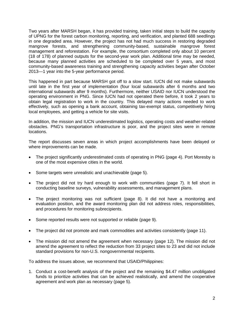Two years after MARSH began, it has provided training, taken initial steps to build the capacity of UPNG for the forest carbon monitoring, reporting, and verification, and planted 688 seedlings in one degraded area. However, the project has not had much success in restoring degraded mangrove forests, and strengthening community-based, sustainable mangrove forest management and reforestation. For example, the consortium completed only about 10 percent (18 of 178) of planned outputs for the second-year work plan. Additional time may be needed, because many planned activities are scheduled to be completed over 5 years, and most community-based awareness training and strengthening capacity activities began after October 2013—1 year into the 5-year performance period.

This happened in part because MARSH got off to a slow start. IUCN did not make subawards until late in the first year of implementation (four local subawards after 6 months and two international subawards after 9 months). Furthermore, neither USAID nor IUCN understood the operating environment in PNG. Since IUCN had not operated there before, it took 2 years to obtain legal registration to work in the country. This delayed many actions needed to work effectively, such as opening a bank account, obtaining tax-exempt status, competitively hiring local employees, and getting a vehicle for site visits.

In addition, the mission and IUCN underestimated logistics, operating costs and weather-related obstacles. PNG's transportation infrastructure is poor, and the project sites were in remote locations.

The report discusses seven areas in which project accomplishments have been delayed or where improvements can be made.

- The project significantly underestimated costs of operating in PNG (page [4\)](#page-6-1). Port Moresby is one of the most expensive cities in the world.
- Some targets were unrealistic and unachievable (page [5\)](#page-7-0).
- The project did not try hard enough to work with communities (page 7). It fell short in conducting baseline surveys, vulnerability assessments, and management plans.
- The project monitoring was not sufficient (page 8). It did not have a monitoring and evaluation position, and the award monitoring plan did not address roles, responsibilities, and procedures for monitoring subrecipients.
- Some reported results were not supported or reliable (page [9\)](#page-11-0).
- The project did not promote and mark commodities and activities consistently (page [11\)](#page-13-0).
- The mission did not amend the agreement when necessary (page [12\)](#page-14-0). The mission did not amend the agreement to reflect the reduction from 33 project sites to 23 and did not include standard provisions for non-U.S. nongovernmental recipients.

To address the issues above, we recommend that USAID/Philippines:

1. Conduct a cost-benefit analysis of the project and the remaining \$4.47 million unobligated funds to prioritize activities that can be achieved realistically, and amend the cooperative agreement and work plan as necessary (page [5\)](#page-7-1).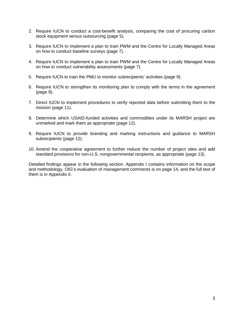- 2. Require IUCN to conduct a cost-benefit analysis, comparing the cost of procuring carbon stock equipment versus outsourcing (page [5\)](#page-7-2).
- 3. Require IUCN to implement a plan to train PWM and the Centre for Locally Managed Areas on how to conduct baseline surveys (page [7\)](#page-9-0).
- 4. Require IUCN to implement a plan to train PWM and the Centre for Locally Managed Areas on how to conduct vulnerability assessments (page [7\)](#page-9-0).
- 5. Require IUCN to train the PMU to monitor subrecipients' activities (page [9\)](#page-11-1).
- 6. Require IUCN to strengthen its monitoring plan to comply with the terms in the agreement (page [9\)](#page-11-2).
- 7. Direct IUCN to implement procedures to verify reported data before submitting them to the mission (page [11\)](#page-13-1).
- 8. Determine which USAID-funded activities and commodities under its MARSH project are unmarked and mark them as appropriate (page [12\)](#page-14-1).
- 9. Require IUCN to provide branding and marking instructions and guidance to MARSH subrecipients (page [12\)](#page-14-2).
- 10. Amend the cooperative agreement to further reduce the number of project sites and add standard provisions for non-U.S. nongovernmental recipients, as appropriate (page [13\)](#page-15-0).

Detailed findings appear in the following section. Appendix I contains information on the scope and methodology. OIG's evaluation of management comments is on page 14, and the full text of them is in Appendix II.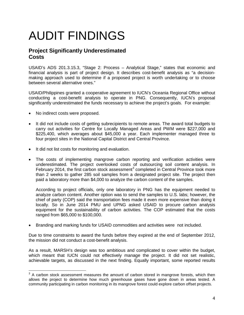# <span id="page-6-0"></span>AUDIT FINDINGS

## <span id="page-6-1"></span>**Project Significantly Underestimated Costs**

USAID's ADS 201.3.15.3, "Stage 2: Process – Analytical Stage," states that economic and financial analysis is part of project design. It describes cost-benefit analysis as "a decisionmaking approach used to determine if a proposed project is worth undertaking or to choose between several alternative ones."

USAID/Philippines granted a cooperative agreement to IUCN's Oceania Regional Office without conducting a cost-benefit analysis to operate in PNG. Consequently, IUCN's proposal significantly underestimated the funds necessary to achieve the project's goals. For example:

- No indirect costs were proposed.
- It did not include costs of getting subrecipients to remote areas. The award total budgets to carry out activities for Centre for Locally Managed Areas and PWM were \$227,000 and \$225,400, which averages about \$45,000 a year. Each implementer managed three to four project sites in the National Capital District and Central Province.
- It did not list costs for monitoring and evaluation.
- The costs of implementing mangrove carbon reporting and verification activities were underestimated. The project overlooked costs of outsourcing soil content analysis. In February 2014, the first carbon stock assessment<sup>[3](#page-6-2)</sup> completed in Central Province took more than 2 weeks to gather 285 soil samples from a designated project site. The project then paid a laboratory more than \$4,000 to analyze the carbon content of the samples.

According to project officials, only one laboratory in PNG has the equipment needed to analyze carbon content. Another option was to send the samples to U.S. labs; however, the chief of party (COP) said the transportation fees made it even more expensive than doing it locally. So in June 2014 PMU and UPNG asked USAID to procure carbon analysis equipment for the sustainability of carbon activities. The COP estimated that the costs ranged from \$65,000 to \$100,000.

• Branding and marking funds for USAID commodities and activities were not included.

Due to time constraints to award the funds before they expired at the end of September 2012, the mission did not conduct a cost-benefit analysis.

As a result, MARSH's design was too ambitious and complicated to cover within the budget, which meant that IUCN could not effectively manage the project. It did not set realistic, achievable targets, as discussed in the next finding. Equally important, some reported results

<span id="page-6-2"></span> $3$  A carbon stock assessment measures the amount of carbon stored in mangrove forests, which then allows the project to determine how much greenhouse gases have gone down in areas tested. A community participating in carbon monitoring in its mangrove forest could explore carbon offset projects.  $\overline{a}$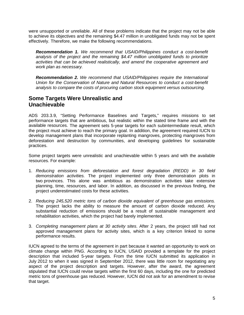were unsupported or unreliable. All of these problems indicate that the project may not be able to achieve its objectives and the remaining \$4.47 million in unobligated funds may not be spent effectively. Therefore, we make the following recommendations.

<span id="page-7-1"></span>*Recommendation 1. We recommend that USAID/Philippines conduct a cost-benefit analysis of the project and the remaining \$4.47 million unobligated funds to prioritize activities that can be achieved realistically, and amend the cooperative agreement and work plan as necessary.*

<span id="page-7-2"></span>*Recommendation 2. We recommend that USAID/Philippines require the International Union for the Conservation of Nature and Natural Resources to conduct a cost-benefit analysis to compare the costs of procuring carbon stock equipment versus outsourcing.*

### <span id="page-7-0"></span>**Some Targets Were Unrealistic and Unachievable**

ADS 203.3.9, "Setting Performance Baselines and Targets," requires missions to set performance targets that are ambitious, but realistic within the stated time frame and with the available resources. The agreement sets 5-year targets for each subintermediate result, which the project must achieve to reach the primary goal. In addition, the agreement required IUCN to develop management plans that incorporate replanting mangroves, protecting mangroves from deforestation and destruction by communities, and developing guidelines for sustainable practices.

Some project targets were unrealistic and unachievable within 5 years and with the available resources. For example:

- 1. *Reducing emissions from deforestation and forest degradation (REDD) in 30 field demonstration activities.* The project implemented only three demonstration plots in two provinces. This alone was ambitious as demonstration activities take extensive planning, time, resources, and labor. In addition, as discussed in the previous finding, the project underestimated costs for these activities.
- 2. *Reducing 245,520 metric tons of carbon dioxide equivalent of greenhouse gas emissions.* The project lacks the ability to measure the amount of carbon dioxide reduced. Any substantial reduction of emissions should be a result of sustainable management and rehabilitation activities, which the project had barely implemented.
- 3. *Completing management plans at 30 activity sites*. After 2 years, the project still had not approved management plans for activity sites, which is a key criterion linked to some performance results.

IUCN agreed to the terms of the agreement in part because it wanted an opportunity to work on climate change within PNG. According to IUCN, USAID provided a template for the project description that included 5-year targets. From the time IUCN submitted its application in July 2012 to when it was signed in September 2012, there was little room for negotiating any aspect of the project description and targets. However, after the award, the agreement stipulated that IUCN could revise targets within the first 60 days, including the one for predicted metric tons of greenhouse gas reduced. However, IUCN did not ask for an amendment to revise that target.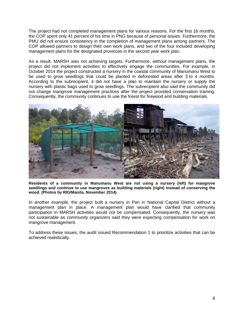The project had not completed management plans for various reasons. For the first 16 months, the COP spent only 41 percent of his time in PNG because of personal issues. Furthermore, the PMU did not ensure consistency in the completion of management plans among partners. The COP allowed partners to design their own work plans, and two of the four included developing management plans for the designated provinces in the second year work plan.

As a result, MARSH was not achieving targets. Furthermore, without management plans, the project did not implement activities to effectively engage the communities. For example, in October 2014 the project constructed a nursery in the coastal community of Manumanu West to be used to grow seedlings that could be planted in deforested areas after 3 to 4 months. According to the subrecipient, it did not have a plan to maintain the nursery or supply the nursery with plastic bags used to grow seedlings. The subrecipient also said the community did not change mangrove management practices after the project provided conservation training. Consequently, the community continues to use the forest for firewood and building materials.



**Residents of a community in Manumanu West are not using a nursery (left) for mangrove seedlings and continue to use mangroves as building materials (right) instead of conserving the wood. (Photos by RIG/Manila, November 2014)**

In another example, the project built a nursery in Pari in National Capital District without a management plan in place. A management plan would have clarified that community participation in MARSH activities would not be compensated. Consequently, the nursery was not sustainable as community organizers said they were expecting compensation for work on mangrove management.

<span id="page-8-0"></span>To address these issues, the audit issued Recommendation 1 to prioritize activities that can be achieved realistically.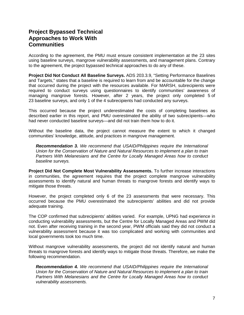### **Project Bypassed Technical Approaches to Work With Communities**

According to the agreement, the PMU must ensure consistent implementation at the 23 sites using baseline surveys, mangrove vulnerability assessments, and management plans. Contrary to the agreement, the project bypassed technical approaches to do any of these.

**Project Did Not Conduct All Baseline Surveys.** ADS 203.3.9, "Setting Performance Baselines and Targets," states that a baseline is required to learn from and be accountable for the change that occurred during the project with the resources available. For MARSH, subrecipients were required to conduct surveys using questionnaires to identify communities' awareness of managing mangrove forests. However, after 2 years, the project only completed 5 of 23 baseline surveys, and only 1 of the 4 subrecipients had conducted any surveys.

This occurred because the project underestimated the costs of completing baselines as described earlier in this report, and PMU overestimated the ability of two subrecipients—who had never conducted baseline surveys—and did not train them how to do it.

Without the baseline data, the project cannot measure the extent to which it changed communities' knowledge, attitude, and practices in mangrove management.

*Recommendation 3. We recommend that USAID/Philippines require the International Union for the Conservation of Nature and Natural Resources to implement a plan to train Partners With Melanesians and the Centre for Locally Managed Areas how to conduct baseline surveys.*

**Project Did Not Complete Most Vulnerability Assessments.** To further increase interactions in communities, the agreement requires that the project complete mangrove vulnerability assessments to identify natural and human threats to mangrove forests and identify ways to mitigate those threats.

However, the project completed only 6 of the 23 assessments that were necessary. This occurred because the PMU overestimated the subrecipients' abilities and did not provide adequate training.

The COP confirmed that subrecipients' abilities varied. For example, UPNG had experience in conducting vulnerability assessments, but the Centre for Locally Managed Areas and PWM did not. Even after receiving training in the second year, PWM officials said they did not conduct a vulnerability assessment because it was too complicated and working with communities and local governments took too much time.

Without mangrove vulnerability assessments, the project did not identify natural and human threats to mangrove forests and identify ways to mitigate those threats. Therefore, we make the following recommendation.

<span id="page-9-0"></span>*Recommendation 4. We recommend that USAID/Philippines require the International Union for the Conservation of Nature and Natural Resources to implement a plan to train Partners With Melanesians and the Centre for Locally Managed Areas how to conduct vulnerability assessments.*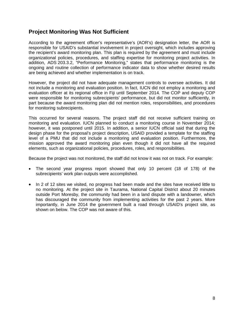#### <span id="page-10-0"></span>**Project Monitoring Was Not Sufficient**

According to the agreement officer's representative's (AOR's) designation letter, the AOR is responsible for USAID's substantial involvement in project oversight, which includes approving the recipient's award monitoring plan. This plan is required by the agreement and must include organizational policies, procedures, and staffing expertise for monitoring project activities. In addition, ADS 203.3.2, "Performance Monitoring," states that performance monitoring is the ongoing and routine collection of performance indicator data to show whether desired results are being achieved and whether implementation is on track.

However, the project did not have adequate management controls to oversee activities. It did not include a monitoring and evaluation position. In fact, IUCN did not employ a monitoring and evaluation officer at its regional office in Fiji until September 2014. The COP and deputy COP were responsible for monitoring subrecipients' performance, but did not monitor sufficiently, in part because the award monitoring plan did not mention roles, responsibilities, and procedures for monitoring subrecipients.

This occurred for several reasons. The project staff did not receive sufficient training on monitoring and evaluation. IUCN planned to conduct a monitoring course in November 2014; however, it was postponed until 2015. In addition, a senior IUCN official said that during the design phase for the proposal's project description, USAID provided a template for the staffing level of a PMU that did not include a monitoring and evaluation position. Furthermore, the mission approved the award monitoring plan even though it did not have all the required elements, such as organizational policies, procedures, roles, and responsibilities.

Because the project was not monitored, the staff did not know it was not on track. For example:

- The second year progress report showed that only 10 percent (18 of 178) of the subrecipients' work plan outputs were accomplished.
- In 2 of 12 sites we visited, no progress had been made and the sites have received little to no monitoring. At the project site in Taurama, National Capital District about 20 minutes outside Port Moresby, the community had been in a land dispute with a landowner, which has discouraged the community from implementing activities for the past 2 years. More importantly, in June 2014 the government built a road through USAID's project site, as shown on below. The COP was not aware of this.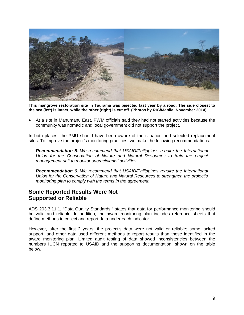

**This mangrove restoration site in Taurama was bisected last year by a road. The side closest to the sea (left) is intact, while the other (right) is cut off. (Photos by RIG/Manila, November 2014**)

• At a site in Manumanu East, PWM officials said they had not started activities because the community was nomadic and local government did not support the project.

<span id="page-11-1"></span>In both places, the PMU should have been aware of the situation and selected replacement sites. To improve the project's monitoring practices, we make the following recommendations.

*Recommendation 5. We recommend that USAID/Philippines require the International Union for the Conservation of Nature and Natural Resources to train the project management unit to monitor subrecipients' activities.*

<span id="page-11-2"></span>*Recommendation 6. We recommend that USAID/Philippines require the International Union for the Conservation of Nature and Natural Resources to strengthen the project's monitoring plan to comply with the terms in the agreement.*

### <span id="page-11-0"></span>**Some Reported Results Were Not Supported or Reliable**

ADS 203.3.11.1, "Data Quality Standards," states that data for performance monitoring should be valid and reliable. In addition, the award monitoring plan includes reference sheets that define methods to collect and report data under each indicator.

However, after the first 2 years, the project's data were not valid or reliable; some lacked support, and other data used different methods to report results than those identified in the award monitoring plan. Limited audit testing of data showed inconsistencies between the numbers IUCN reported to USAID and the supporting documentation, shown on the table below.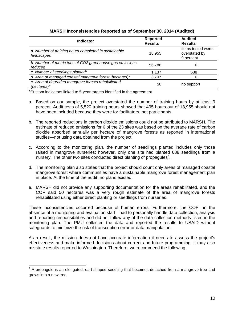| <b>Indicator</b>                                                    | <b>Reported</b><br><b>Results</b> | <b>Audited</b><br><b>Results</b>                |
|---------------------------------------------------------------------|-----------------------------------|-------------------------------------------------|
| a. Number of training hours completed in sustainable<br>landscapes  | 18.955                            | items tested were<br>overstated by<br>9 percent |
| b. Number of metric tons of CO2 greenhouse gas emissions<br>reduced | 56,788                            | 0                                               |
| c. Number of seedlings planted*                                     | 1,137                             | 688                                             |
| d. Area of managed coastal mangrove forest (hectares)*              | 3,707                             |                                                 |
| e. Area of degraded mangrove forests rehabilitated<br>(hectares)*   | 50                                | no support                                      |

#### **MARSH Inconsistencies Reported as of September 30, 2014 (Audited)**

\*Custom indicators linked to 5-year targets identified in the agreement.

- a. Based on our sample, the project overstated the number of training hours by at least 9 percent. Audit tests of 5,520 training hours showed that 495 hours out of 18,955 should not have been included because they were for facilitators, not participants.
- b. The reported reductions in carbon dioxide emissions could not be attributed to MARSH. The estimate of reduced emissions for 6 of the 23 sites was based on the average rate of carbon dioxide absorbed annually per hectare of mangrove forests as reported in international studies—not using data obtained from the project.
- c. According to the monitoring plan, the number of seedlings planted includes only those raised in mangrove nurseries; however, only one site had planted 688 seedlings from a nursery. The other two sites conducted direct planting of propagules<sup>[4](#page-12-0)</sup>.
- d. The monitoring plan also states that the project should count only areas of managed coastal mangrove forest where communities have a sustainable mangrove forest management plan in place. At the time of the audit, no plans existed.
- e. MARSH did not provide any supporting documentation for the areas rehabilitated, and the COP said 50 hectares was a very rough estimate of the area of mangrove forests rehabilitated using either direct planting or seedlings from nurseries.

These inconsistencies occurred because of human errors. Furthermore, the COP—in the absence of a monitoring and evaluation staff—had to personally handle data collection, analysis and reporting responsibilities and did not follow any of the data collection methods listed in the monitoring plan. The PMU collected the data and reported the results to USAID without safeguards to minimize the risk of transcription error or data manipulation.

As a result, the mission does not have accurate information it needs to assess the project's effectiveness and make informed decisions about current and future programming. It may also misstate results reported to Washington. Therefore, we recommend the following.

<span id="page-12-0"></span> $4$  A propagule is an elongated, dart-shaped seedling that becomes detached from a mangrove tree and grows into a new tree.  $\overline{\phantom{a}}$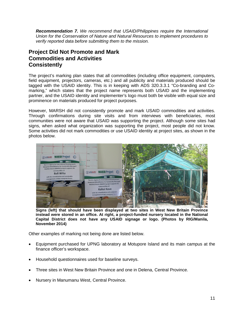<span id="page-13-1"></span>*Recommendation 7. We recommend that USAID/Philippines require the International Union for the Conservation of Nature and Natural Resources to implement procedures to verify reported data before submitting them to the mission.*

## <span id="page-13-0"></span>**Project Did Not Promote and Mark Commodities and Activities Consistently**

The project's marking plan states that all commodities (including office equipment, computers, field equipment, projectors, cameras, etc.) and all publicity and materials produced should be tagged with the USAID identity. This is in keeping with ADS 320.3.3.1 "Co-branding and Comarking," which states that the project name represents both USAID and the implementing partner, and the USAID identity and implementer's logo must both be visible with equal size and prominence on materials produced for project purposes.

However, MARSH did not consistently promote and mark USAID commodities and activities. Through confirmations during site visits and from interviews with beneficiaries, most communities were not aware that USAID was supporting the project. Although some sites had signs, when asked what organization was supporting the project, most people did not know. Some activities did not mark commodities or use USAID identity at project sites, as shown in the photos below.



**Signs (left) that should have been displayed at two sites in West New Britain Province instead were stored in an office. At right, a project-funded nursery located in the National Capital District does not have any USAID signage or logo. (Photos by RIG/Manila, November 2014)**

Other examples of marking not being done are listed below.

- Equipment purchased for UPNG laboratory at Motupore Island and its main campus at the finance officer's workspace.
- Household questionnaires used for baseline surveys.
- Three sites in West New Britain Province and one in Delena, Central Province.
- Nursery in Manumanu West, Central Province.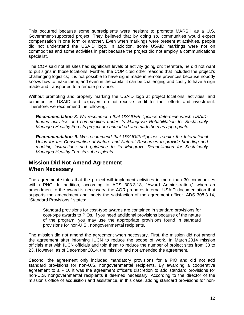This occurred because some subrecipients were hesitant to promote MARSH as a U.S. Government-supported project. They believed that by doing so, communities would expect compensation in one form or another. Even when markings were present at activities, people did not understand the USAID logo. In addition, some USAID markings were not on commodities and some activities in part because the project did not employ a communications specialist.

The COP said not all sites had significant levels of activity going on; therefore, he did not want to put signs in those locations. Further, the COP cited other reasons that included the project's challenging logistics; it is not possible to have signs made in remote provinces because nobody knows how to make them, and even in the capital it can be challenging and costly to have a sign made and transported to a remote province.

Without promoting and properly marking the USAID logo at project locations, activities, and commodities, USAID and taxpayers do not receive credit for their efforts and investment. Therefore, we recommend the following.

<span id="page-14-1"></span>*Recommendation 8. We recommend that USAID/Philippines determine which USAIDfunded activities and commodities under its Mangrove Rehabilitation for Sustainably Managed Healthy Forests project are unmarked and mark them as appropriate.*

<span id="page-14-2"></span>*Recommendation 9. We recommend that USAID/Philippines require the International Union for the Conservation of Nature and Natural Resources to provide branding and marking instructions and guidance to its Mangrove Rehabilitation for Sustainably Managed Healthy Forests subrecipients.*

#### <span id="page-14-0"></span>**Mission Did Not Amend Agreement When Necessary**

The agreement states that the project will implement activities in more than 30 communities within PNG. In addition, according to ADS 303.3.18, "Award Administration," when an amendment to the award is necessary, the AOR prepares internal USAID documentation that supports the amendment and meets the satisfaction of the agreement officer. ADS 308.3.14, "Standard Provisions," states:

Standard provisions for cost-type awards are contained in standard provisions for cost-type awards to PIOs. If you need additional provisions because of the nature of the program, you may use the appropriate provisions found in standard provisions for non-U.S., nongovernmental recipients.

The mission did not amend the agreement when necessary. First, the mission did not amend the agreement after informing IUCN to reduce the scope of work. In March 2014 mission officials met with IUCN officials and told them to reduce the number of project sites from 33 to 23. However, as of December 2014, the mission had not amended the agreement.

Second, the agreement only included mandatory provisions for a PIO and did not add standard provisions for non-U.S. nongovernmental recipients. By awarding a cooperative agreement to a PIO, it was the agreement officer's discretion to add standard provisions for non-U.S. nongovernmental recipients if deemed necessary. According to the director of the mission's office of acquisition and assistance, in this case, adding standard provisions for non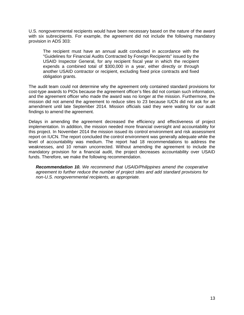U.S. nongovernmental recipients would have been necessary based on the nature of the award with six subrecipients. For example, the agreement did not include the following mandatory provision in ADS 303:

The recipient must have an annual audit conducted in accordance with the "Guidelines for Financial Audits Contracted by Foreign Recipients" issued by the USAID Inspector General, for any recipient fiscal year in which the recipient expends a combined total of \$300,000 in a year, either directly or through another USAID contractor or recipient, excluding fixed price contracts and fixed obligation grants.

The audit team could not determine why the agreement only contained standard provisions for cost-type awards to PIOs because the agreement officer's files did not contain such information, and the agreement officer who made the award was no longer at the mission. Furthermore, the mission did not amend the agreement to reduce sites to 23 because IUCN did not ask for an amendment until late September 2014. Mission officials said they were waiting for our audit findings to amend the agreement.

Delays in amending the agreement decreased the efficiency and effectiveness of project implementation. In addition, the mission needed more financial oversight and accountability for this project. In November 2014 the mission issued its control environment and risk assessment report on IUCN. The report concluded the control environment was generally adequate while the level of accountability was medium. The report had 18 recommendations to address the weaknesses, and 10 remain uncorrected. Without amending the agreement to include the mandatory provision for a financial audit, the project decreases accountability over USAID funds. Therefore, we make the following recommendation.

<span id="page-15-0"></span>*Recommendation 10. We recommend that USAID/Philippines amend the cooperative agreement to further reduce the number of project sites and add standard provisions for non-U.S. nongovernmental recipients, as appropriate.*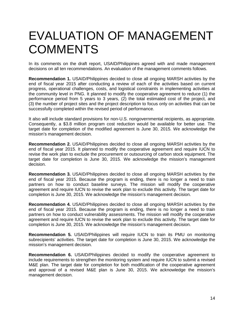## <span id="page-16-0"></span>EVALUATION OF MANAGEMENT **COMMENTS**

In its comments on the draft report, USAID/Philippines agreed with and made management decisions on all ten recommendations. An evaluation of the management comments follows.

**Recommendation 1.** USAID/Philippines decided to close all ongoing MARSH activities by the end of fiscal year 2015 after conducting a review of each of the activities based on current progress, operational challenges, costs, and logistical constraints in implementing activities at the community level in PNG. It planned to modify the cooperative agreement to reduce (1) the performance period from 5 years to 3 years, (2) the total estimated cost of the project, and (3) the number of project sites and the project description to focus only on activities that can be successfully completed within the revised period of performance.

It also will include standard provisions for non-U.S. nongovernmental recipients, as appropriate. Consequently, a \$3.8 million program cost reduction would be available for better use. The target date for completion of the modified agreement is June 30, 2015. We acknowledge the mission's management decision.

**Recommendation 2.** USAID/Philippines decided to close all ongoing MARSH activities by the end of fiscal year 2015. It planned to modify the cooperative agreement and require IUCN to revise the work plan to exclude the procurement or outsourcing of carbon stock equipment. The target date for completion is June 30, 2015. We acknowledge the mission's management decision.

**Recommendation 3.** USAID/Philippines decided to close all ongoing MARSH activities by the end of fiscal year 2015. Because the program is ending, there is no longer a need to train partners on how to conduct baseline surveys. The mission will modify the cooperative agreement and require IUCN to revise the work plan to exclude this activity. The target date for completion is June 30, 2015. We acknowledge the mission's management decision.

**Recommendation 4.** USAID/Philippines decided to close all ongoing MARSH activities by the end of fiscal year 2015. Because the program is ending, there is no longer a need to train partners on how to conduct vulnerability assessments. The mission will modify the cooperative agreement and require IUCN to revise the work plan to exclude this activity. The target date for completion is June 30, 2015. We acknowledge the mission's management decision.

**Recommendation 5.** USAID/Philippines will require IUCN to train its PMU on monitoring subrecipients' activities. The target date for completion is June 30, 2015. We acknowledge the mission's management decision.

**Recommendation 6.** USAID/Philippines decided to modify the cooperative agreement to include requirements to strengthen the monitoring system and require IUCN to submit a revised M&E plan. The target date for completion for both modification of the cooperative agreement and approval of a revised M&E plan is June 30, 2015. We acknowledge the mission's management decision.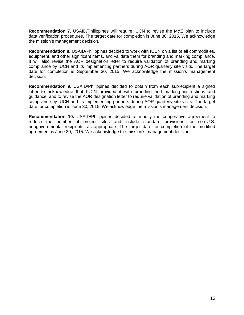**Recommendation 7.** USAID/Philippines will require IUCN to revise the M&E plan to include data verification procedures. The target date for completion is June 30, 2015. We acknowledge the mission's management decision.

**Recommendation 8.** USAID/Philippines decided to work with IUCN on a list of all commodities, equipment, and other significant items, and validate them for branding and marking compliance. It will also revise the AOR designation letter to require validation of branding and marking compliance by IUCN and its implementing partners during AOR quarterly site visits. The target date for completion is September 30, 2015. We acknowledge the mission's management decision.

**Recommendation 9.** USAID/Philippines decided to obtain from each subrecipient a signed letter to acknowledge that IUCN provided it with branding and marking instructions and guidance, and to revise the AOR designation letter to require validation of branding and marking compliance by IUCN and its implementing partners during AOR quarterly site visits. The target date for completion is June 30, 2015. We acknowledge the mission's management decision.

**Recommendation 10.** USAID/Philippines decided to modify the cooperative agreement to reduce the number of project sites and include standard provisions for non-U.S. nongovernmental recipients, as appropriate. The target date for completion of the modified agreement is June 30, 2015. We acknowledge the mission's management decision.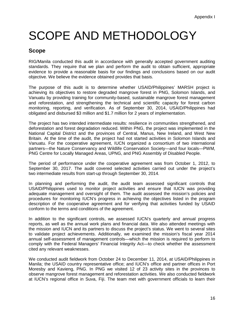# <span id="page-18-0"></span>SCOPE AND METHODOLOGY

#### **Scope**

RIG/Manila conducted this audit in accordance with generally accepted government auditing standards. They require that we plan and perform the audit to obtain sufficient, appropriate evidence to provide a reasonable basis for our findings and conclusions based on our audit objective. We believe the evidence obtained provides that basis.

The purpose of this audit is to determine whether USAID/Philippines' MARSH project is achieving its objectives to restore degraded mangrove forest in PNG, Solomon Islands, and Vanuatu by providing training for community-based, sustainable mangrove forest management and reforestation, and strengthening the technical and scientific capacity for forest carbon monitoring, reporting, and verification. As of September 30, 2014, USAID/Philippines had obligated and disbursed \$3 million and \$1.7 million for 2 years of implementation.

The project has two intended intermediate results: resilience in communities strengthened, and deforestation and forest degradation reduced. Within PNG, the project was implemented in the National Capital District and the provinces of Central, Manus, New Ireland, and West New Britain. At the time of the audit, the project had not started activities in Solomon Islands and Vanuatu. For the cooperative agreement, IUCN organized a consortium of two international partners—the Nature Conservancy and Wildlife Conservation Society—and four locals—PWM, PNG Centre for Locally Managed Areas, UPNG, and PNG Assembly of Disabled People.

The period of performance under the cooperative agreement was from October 1, 2012, to September 30, 2017. The audit covered selected activities carried out under the project's two intermediate results from start-up through September 30, 2014.

In planning and performing the audit, the audit team assessed significant controls that USAID/Philippines used to monitor project activities and ensure that IUCN was providing adequate management and oversight of them. The audit assessed the mission's policies and procedures for monitoring IUCN's progress in achieving the objectives listed in the program description of the cooperative agreement and for verifying that activities funded by USAID conform to the terms and conditions of the agreement.

In addition to the significant controls, we assessed IUCN's quarterly and annual progress reports, as well as the annual work plans and financial data. We also attended meetings with the mission and IUCN and its partners to discuss the project's status. We went to several sites to validate project achievements. Additionally, we examined the mission's fiscal year 2014 annual self-assessment of management controls—which the mission is required to perform to comply with the Federal Managers' Financial Integrity Act—to check whether the assessment cited any relevant weaknesses.

We conducted audit fieldwork from October 24 to December 11, 2014, at USAID/Philippines in Manila; the USAID country representative office; and IUCN's office and partner offices in Port Moresby and Kavieng, PNG. In PNG we visited 12 of 23 activity sites in the provinces to observe mangrove forest management and reforestation activities. We also conducted fieldwork at IUCN's regional office in Suva, Fiji. The team met with government officials to learn their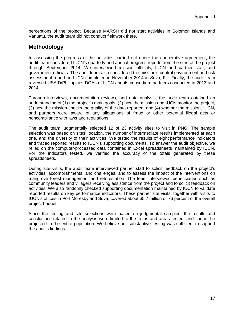perceptions of the project. Because MARSH did not start activities in Solomon Islands and Vanuatu, the audit team did not conduct fieldwork there.

### **Methodology**

In assessing the progress of the activities carried out under the cooperative agreement, the audit team considered IUCN's quarterly and annual progress reports from the start of the project through September 2014. We interviewed mission officials, IUCN and partner staff, and government officials. The audit team also considered the mission's control environment and risk assessment report on IUCN completed in November 2014 in Suva, Fiji. Finally, the audit team reviewed USAID/Philippines DQAs of IUCN and its consortium partners conducted in 2013 and 2014.

Through interviews, documentation reviews, and data analysis, the audit team obtained an understanding of (1) the project's main goals, (2) how the mission and IUCN monitor the project, (3) how the mission checks the quality of the data reported, and (4) whether the mission, IUCN, and partners were aware of any allegations of fraud or other potential illegal acts or noncompliance with laws and regulations.

The audit team judgmentally selected 12 of 23 activity sites to visit in PNG. The sample selection was based on sites' location, the number of intermediate results implemented at each one, and the diversity of their activities. We tested the results of eight performance indicators and traced reported results to IUCN's supporting documents. To answer the audit objective, we relied on the computer-processed data contained in Excel spreadsheets maintained by IUCN. For the indicators tested, we verified the accuracy of the totals generated by these spreadsheets.

During site visits, the audit team interviewed partner staff to solicit feedback on the project's activities, accomplishments, and challenges, and to assess the impact of the interventions on mangrove forest management and reforestation. The team interviewed beneficiaries such as community leaders and villagers receiving assistance from the project and to solicit feedback on activities. We also randomly checked supporting documentation maintained by IUCN to validate reported results on key performance indicators. These partner site visits, together with visits to IUCN's offices in Port Moresby and Suva, covered about \$5.7 million or 76 percent of the overall project budget.

Since the testing and site selections were based on judgmental samples, the results and conclusions related to the analysis were limited to the items and areas tested, and cannot be projected to the entire population. We believe our substantive testing was sufficient to support the audit's findings.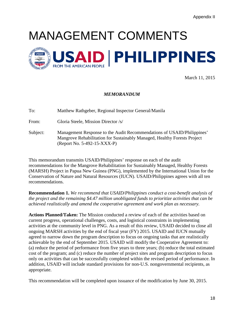# <span id="page-20-0"></span>MANAGEMENT COMMENTS



March 11, 2015

#### *MEMORANDUM*

To: Matthew Rathgeber, Regional Inspector General/Manila

From: Gloria Steele, Mission Director /s/

Subject: Management Response to the Audit Recommendations of USAID/Philippines' Mangrove Rehabilitation for Sustainably Managed, Healthy Forests Project (Report No. 5-492-15-XXX-P)

This memorandum transmits USAID/Philippines' response on each of the audit recommendations for the Mangrove Rehabilitation for Sustainably Managed, Healthy Forests (MARSH) Project in Papua New Guinea (PNG), implemented by the International Union for the Conservation of Nature and Natural Resources (IUCN). USAID/Philippines agrees with all ten recommendations.

**Recommendation 1.** *We recommend that USAID/Philippines conduct a cost-benefit analysis of the project and the remaining \$4.47 million unobligated funds to prioritize activities that can be achieved realistically and amend the cooperative agreement and work plan as necessary.*

**Actions Planned/Taken:** The Mission conducted a review of each of the activities based on current progress, operational challenges, costs, and logistical constraints in implementing activities at the community level in PNG. As a result of this review, USAID decided to close all ongoing MARSH activities by the end of fiscal year (FY) 2015. USAID and IUCN mutually agreed to narrow down the program description to focus on ongoing tasks that are realistically achievable by the end of September 2015. USAID will modify the Cooperative Agreement to: (a) reduce the period of performance from five years to three years; (b) reduce the total estimated cost of the program; and (c) reduce the number of project sites and program description to focus only on activities that can be successfully completed within the revised period of performance. In addition, USAID will include standard provisions for non-U.S. nongovernmental recipients, as appropriate.

This recommendation will be completed upon issuance of the modification by June 30, 2015.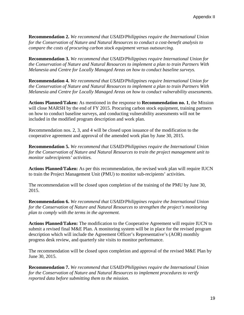**Recommendation 2.** *We recommend that USAID/Philippines require the International Union for the Conservation of Nature and Natural Resources to conduct a cost-benefit analysis to compare the costs of procuring carbon stock equipment versus outsourcing.*

**Recommendation 3.** *We recommend that USAID/Philippines require International Union for the Conservation of Nature and Natural Resources to implement a plan to train Partners With Melanesia and Centre for Locally Managed Areas on how to conduct baseline surveys.*

**Recommendation 4.** *We recommend that USAID/Philippines require International Union for the Conservation of Nature and Natural Resources to implement a plan to train Partners With Melanesia and Centre for Locally Managed Areas on how to conduct vulnerability assessments.*

**Actions Planned/Taken:** As mentioned in the response to **Recommendation no. 1**, the Mission will close MARSH by the end of FY 2015. Procuring carbon stock equipment, training partners on how to conduct baseline surveys, and conducting vulnerability assessments will not be included in the modified program description and work plan.

Recommendation nos. 2, 3, and 4 will be closed upon issuance of the modification to the cooperative agreement and approval of the amended work plan by June 30, 2015.

**Recommendation 5.** *We recommend that USAID/Philippines require the International Union for the Conservation of Nature and Natural Resources to train the project management unit to monitor subrecipients' activities.*

**Actions Planned/Taken:** As per this recommendation, the revised work plan will require IUCN to train the Project Management Unit (PMU) to monitor sub-recipients' activities.

The recommendation will be closed upon completion of the training of the PMU by June 30, 2015.

**Recommendation 6.** *We recommend that USAID/Philippines require the International Union for the Conservation of Nature and Natural Resources to strengthen the project's monitoring plan to comply with the terms in the agreement.*

**Actions Planned/Taken:** The modification to the Cooperative Agreement will require IUCN to submit a revised final M&E Plan. A monitoring system will be in place for the revised program description which will include the Agreement Officer's Representative's (AOR) monthly progress desk review, and quarterly site visits to monitor performance.

The recommendation will be closed upon completion and approval of the revised M&E Plan by June 30, 2015.

**Recommendation 7.** *We recommend that USAID/Philippines require the International Union for the Conservation of Nature and Natural Resources to implement procedures to verify reported data before submitting them to the mission.*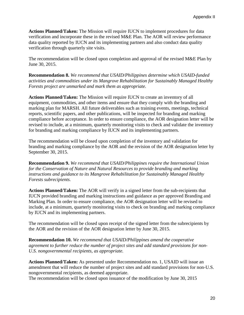**Actions Planned/Taken:** The Mission will require IUCN to implement procedures for data verification and incorporate these in the revised M&E Plan. The AOR will review performance data quality reported by IUCN and its implementing partners and also conduct data quality verification through quarterly site visits.

The recommendation will be closed upon completion and approval of the revised M&E Plan by June 30, 2015.

**Recommendation 8.** *We recommend that USAID/Philippines determine which USAID-funded activities and commodities under its Mangrove Rehabilitation for Sustainably Managed Healthy Forests project are unmarked and mark them as appropriate.*

**Actions Planned/Taken:** The Mission will require IUCN to create an inventory of all equipment, commodities, and other items and ensure that they comply with the branding and marking plan for MARSH. All future deliverables such as training events, meetings, technical reports, scientific papers, and other publications, will be inspected for branding and marking compliance before acceptance. In order to ensure compliance, the AOR designation letter will be revised to include, at a minimum, quarterly monitoring visits to check and validate the inventory for branding and marking compliance by IUCN and its implementing partners.

The recommendation will be closed upon completion of the inventory and validation for branding and marking compliance by the AOR and the revision of the AOR designation letter by September 30, 2015.

**Recommendation 9.** *We recommend that USAID/Philippines require the International Union for the Conservation of Nature and Natural Resources to provide branding and marking instructions and guidance to its Mangrove Rehabilitation for Sustainably Managed Healthy Forests subrecipients.*

**Actions Planned/Taken:** The AOR will verify in a signed letter from the sub-recipients that IUCN provided branding and marking instructions and guidance as per approved Branding and Marking Plan. In order to ensure compliance, the AOR designation letter will be revised to include, at a minimum, quarterly monitoring visits to check on branding and marking compliance by IUCN and its implementing partners.

The recommendation will be closed upon receipt of the signed letter from the subrecipients by the AOR and the revision of the AOR designation letter by June 30, 2015.

**Recommendation 10.** *We recommend that USAID/Philippines amend the cooperative agreement to further reduce the number of project sites and add standard provisions for non-U.S. nongovernmental recipients, as appropriate.*

**Actions Planned/Taken:** As presented under Recommendation no. 1, USAID will issue an amendment that will reduce the number of project sites and add standard provisions for non-U.S. nongovernmental recipients, as deemed appropriate.

The recommendation will be closed upon issuance of the modification by June 30, 2015